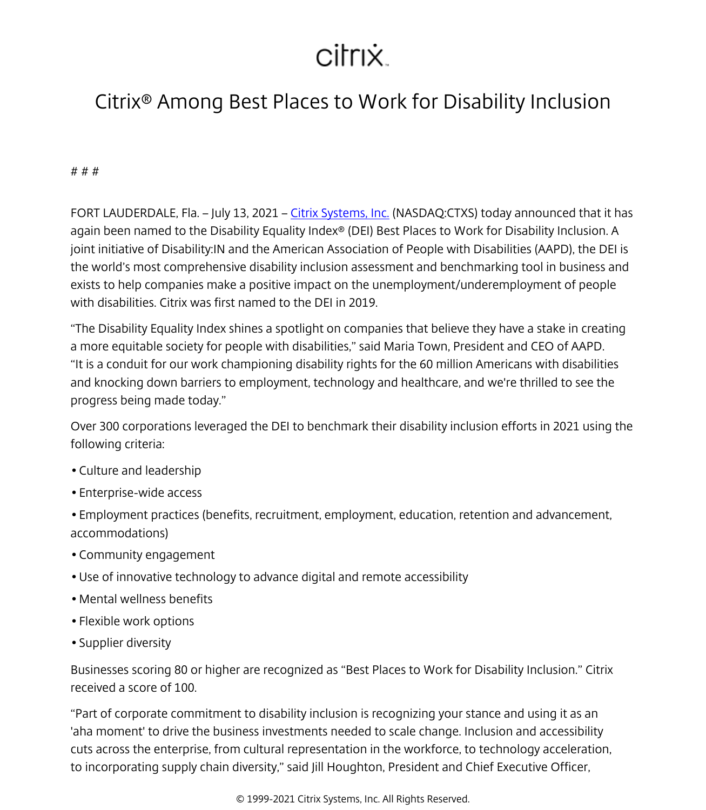## citrix.

## Citrix® Among Best Places to Work for Disability Inclusion

# # #

FORT LAUDERDALE, Fla. – July 13, 2021 – [Citrix Systems, Inc.](/content/citrix/da-dk/
            .html) (NASDAQ:CTXS) today announced that it has again been named to the Disability Equality Index® (DEI) Best Places to Work for Disability Inclusion. A joint initiative of Disability:IN and the American Association of People with Disabilities (AAPD), the DEI is the world's most comprehensive disability inclusion assessment and benchmarking tool in business and exists to help companies make a positive impact on the unemployment/underemployment of people with disabilities. Citrix was first named to the DEI in 2019.

"The Disability Equality Index shines a spotlight on companies that believe they have a stake in creating a more equitable society for people with disabilities," said Maria Town, President and CEO of AAPD. "It is a conduit for our work championing disability rights for the 60 million Americans with disabilities and knocking down barriers to employment, technology and healthcare, and we're thrilled to see the progress being made today."

Over 300 corporations leveraged the DEI to benchmark their disability inclusion efforts in 2021 using the following criteria:

- Culture and leadership
- Enterprise-wide access
- Employment practices (benefits, recruitment, employment, education, retention and advancement, accommodations)
- Community engagement
- Use of innovative technology to advance digital and remote accessibility
- Mental wellness benefits
- Flexible work options
- Supplier diversity

Businesses scoring 80 or higher are recognized as "Best Places to Work for Disability Inclusion." Citrix received a score of 100.

"Part of corporate commitment to disability inclusion is recognizing your stance and using it as an 'aha moment' to drive the business investments needed to scale change. Inclusion and accessibility cuts across the enterprise, from cultural representation in the workforce, to technology acceleration, to incorporating supply chain diversity," said Jill Houghton, President and Chief Executive Officer,

© 1999-2021 Citrix Systems, Inc. All Rights Reserved.